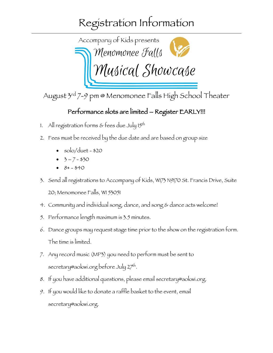## Registration Information



August 3rd 7-9 pm @ Menomonee Falls High School Theater

## Performance slots are limited – Register EARLY!!!

- 1. All registration forms  $\varepsilon$  fees due July 15<sup>th</sup>
- 2. Fees must be received by the due date and are based on group size
	- solo/duet \$20
	- $3 7 $30$
	- $8+ $40$
- 3. Send all registrations to Accompany of Kids, W173 N9170 St. Francis Drive, Suite 20; Menomonee Falls, WI 53051
- 4. Community and individual song, dance, and song & dance acts welcome!
- 5. Performance length maximum is 3.5 minutes.
- 6. Dance groups may request stage time prior to the show on the registration form. The time is limited.
- 7. Any record music (MP3) you need to perform must be sent to secretary@aokwi.org before July 27th.
- 8. If you have additional questions, please email secretary@aokwi.org.
- 9. If you would like to donate a raffle basket to the event, email secretary@aokwi.org.